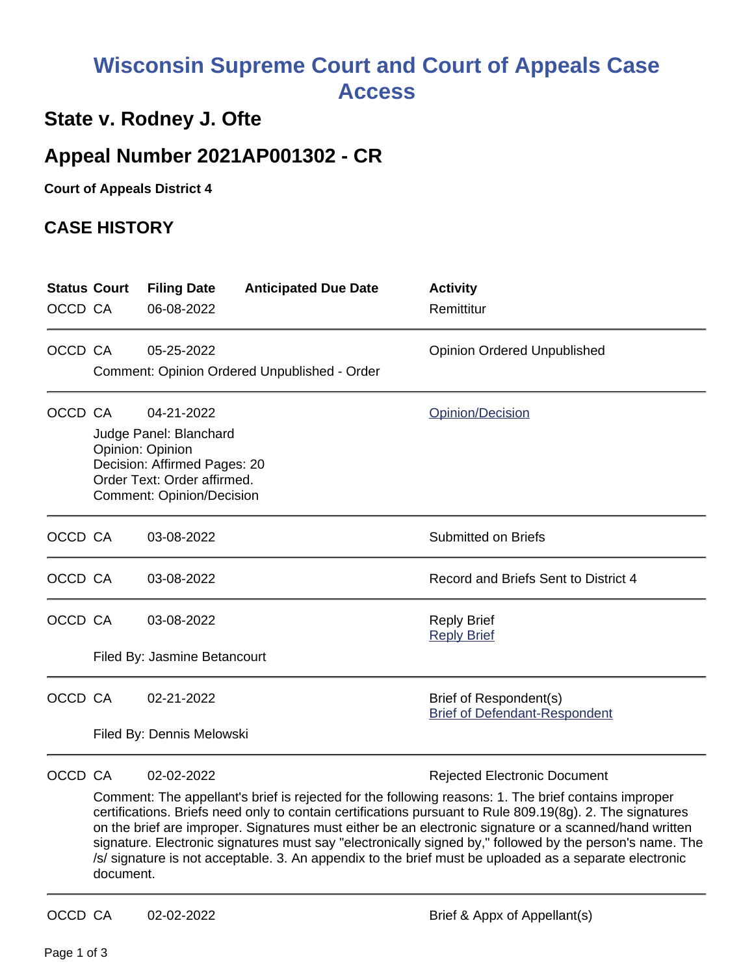## **Wisconsin Supreme Court and Court of Appeals Case Access**

## **State v. Rodney J. Ofte**

## **Appeal Number 2021AP001302 - CR**

**Court of Appeals District 4**

## **CASE HISTORY**

| <b>Status Court</b><br>OCCD CA |                                                                                                                                                             | <b>Filing Date</b><br>06-08-2022           | <b>Anticipated Due Date</b>                  | <b>Activity</b><br>Remittitur                                  |
|--------------------------------|-------------------------------------------------------------------------------------------------------------------------------------------------------------|--------------------------------------------|----------------------------------------------|----------------------------------------------------------------|
| OCCD CA                        |                                                                                                                                                             | 05-25-2022                                 | Comment: Opinion Ordered Unpublished - Order | <b>Opinion Ordered Unpublished</b>                             |
| OCCD CA                        | 04-21-2022<br>Judge Panel: Blanchard<br>Opinion: Opinion<br>Decision: Affirmed Pages: 20<br>Order Text: Order affirmed.<br><b>Comment: Opinion/Decision</b> |                                            |                                              | Opinion/Decision                                               |
| OCCD CA                        |                                                                                                                                                             | 03-08-2022                                 |                                              | <b>Submitted on Briefs</b>                                     |
| OCCD CA                        |                                                                                                                                                             | 03-08-2022                                 |                                              | Record and Briefs Sent to District 4                           |
| OCCD CA                        |                                                                                                                                                             | 03-08-2022<br>Filed By: Jasmine Betancourt |                                              | <b>Reply Brief</b><br><b>Reply Brief</b>                       |
| OCCD CA                        |                                                                                                                                                             | 02-21-2022<br>Filed By: Dennis Melowski    |                                              | Brief of Respondent(s)<br><b>Brief of Defendant-Respondent</b> |
| OCCD CA                        |                                                                                                                                                             | 02-02-2022                                 |                                              | <b>Rejected Electronic Document</b>                            |

Comment: The appellant's brief is rejected for the following reasons: 1. The brief contains improper certifications. Briefs need only to contain certifications pursuant to Rule 809.19(8g). 2. The signatures on the brief are improper. Signatures must either be an electronic signature or a scanned/hand written signature. Electronic signatures must say "electronically signed by," followed by the person's name. The /s/ signature is not acceptable. 3. An appendix to the brief must be uploaded as a separate electronic document.

OCCD CA 02-02-2022 Brief & Appx of Appellant(s)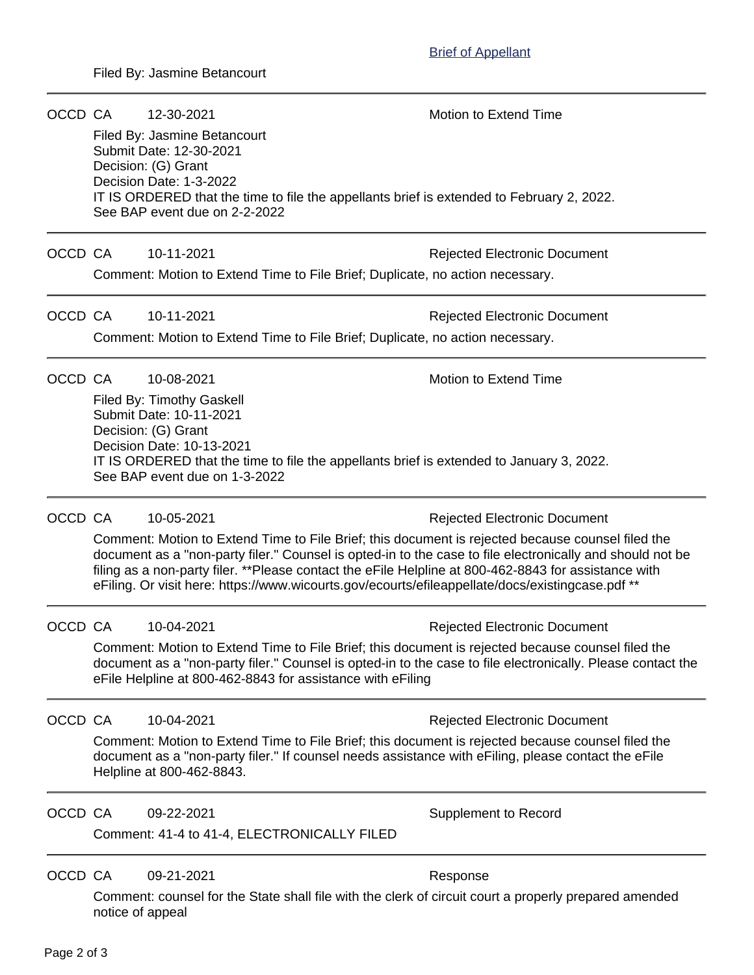OCCD CA 12-30-2021 Motion to Extend Time Filed By: Jasmine Betancourt Submit Date: 12-30-2021 Decision: (G) Grant Decision Date: 1-3-2022 IT IS ORDERED that the time to file the appellants brief is extended to February 2, 2022. See BAP event due on 2-2-2022 OCCD CA 10-11-2021 **Rejected Electronic Document** Comment: Motion to Extend Time to File Brief; Duplicate, no action necessary. OCCD CA 10-11-2021 Rejected Electronic Document Comment: Motion to Extend Time to File Brief; Duplicate, no action necessary. OCCD CA  $10-08-2021$  Motion to Extend Time Filed By: Timothy Gaskell Submit Date: 10-11-2021 Decision: (G) Grant Decision Date: 10-13-2021 IT IS ORDERED that the time to file the appellants brief is extended to January 3, 2022. See BAP event due on 1-3-2022 OCCD CA 10-05-2021 10:00 Rejected Electronic Document Comment: Motion to Extend Time to File Brief; this document is rejected because counsel filed the document as a "non-party filer." Counsel is opted-in to the case to file electronically and should not be filing as a non-party filer. \*\*Please contact the eFile Helpline at 800-462-8843 for assistance with eFiling. Or visit here: https://www.wicourts.gov/ecourts/efileappellate/docs/existingcase.pdf \*\*

OCCD CA 10-04-2021 **Rejected Electronic Document** 

Comment: Motion to Extend Time to File Brief; this document is rejected because counsel filed the document as a "non-party filer." Counsel is opted-in to the case to file electronically. Please contact the eFile Helpline at 800-462-8843 for assistance with eFiling

OCCD CA 10-04-2021 **Rejected Electronic Document** 

Comment: Motion to Extend Time to File Brief; this document is rejected because counsel filed the document as a "non-party filer." If counsel needs assistance with eFiling, please contact the eFile Helpline at 800-462-8843.

OCCD CA 09-22-2021 Supplement to Record

Comment: 41-4 to 41-4, ELECTRONICALLY FILED

OCCD CA 09-21-2021 Response

Comment: counsel for the State shall file with the clerk of circuit court a properly prepared amended notice of appeal